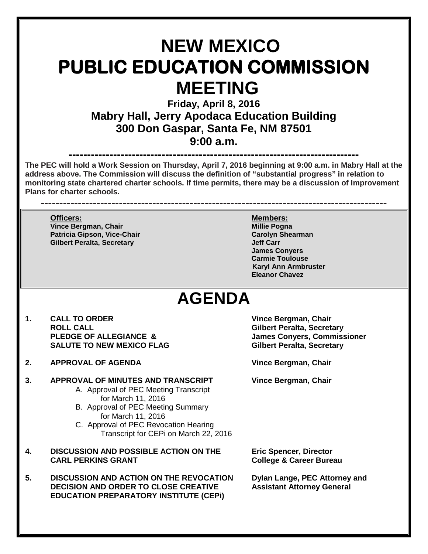## **NEW MEXICO PUBLIC EDUCATION COMMISSION MEETING**

**Friday, April 8, 2016 Mabry Hall, Jerry Apodaca Education Building 300 Don Gaspar, Santa Fe, NM 87501 9:00 a.m.**

**------------------------------------------------------------------------------ The PEC will hold a Work Session on Thursday, April 7, 2016 beginning at 9:00 a.m. in Mabry Hall at the address above. The Commission will discuss the definition of "substantial progress" in relation to monitoring state chartered charter schools. If time permits, there may be a discussion of Improvement Plans for charter schools.**

**---------------------------------------------------------------------------------------------**

**Vince Bergman, Chair Patricia Gipson, Vice-Chair Carolyn Shearman Gilbert Peralta, Secretary** 

**Officers: Members: James Conyers Carmie Toulouse Karyl Ann Armbruster Eleanor Chavez**

## **AGENDA**

- **1. CALL TO ORDER Vince Bergman, Chair ROLL CALL Gilbert Peralta, Secretary SALUTE TO NEW MEXICO FLAG**
- **2. APPROVAL OF AGENDA Vince Bergman, Chair**
- **3. APPROVAL OF MINUTES AND TRANSCRIPT Vince Bergman, Chair** A. Approval of PEC Meeting Transcript
	- for March 11, 2016
	- B. Approval of PEC Meeting Summary for March 11, 2016
	- C. Approval of PEC Revocation Hearing Transcript for CEPi on March 22, 2016
- **4. DISCUSSION AND POSSIBLE ACTION ON THE Eric Spencer, Director CARL PERKINS GRANT College & Career Bureau**
- **5. DISCUSSION AND ACTION ON THE REVOCATION Dylan Lange, PEC Attorney and DECISION AND ORDER TO CLOSE CREATIVE EDUCATION PREPARATORY INSTITUTE (CEPi)**

**James Conyers, Commissioner<br>Gilbert Peralta, Secretary**